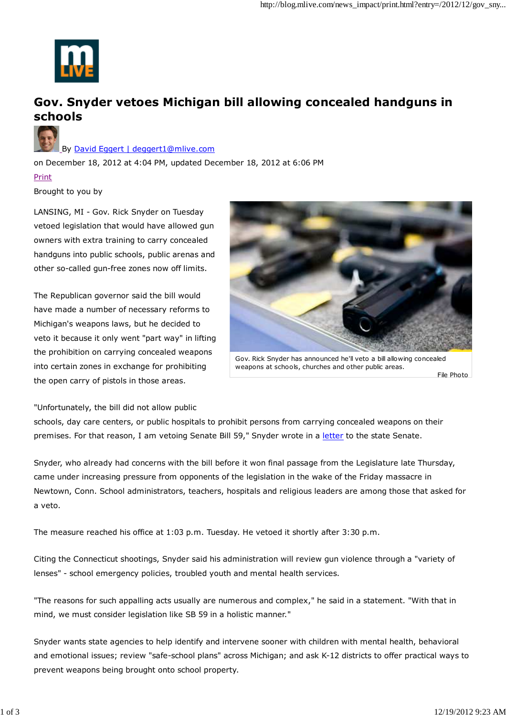

## **Gov. Snyder vetoes Michigan bill allowing concealed handguns in schools**



By David Eggert | deggert1@mlive.com

on December 18, 2012 at 4:04 PM, updated December 18, 2012 at 6:06 PM

Print

Brought to you by

LANSING, MI - Gov. Rick Snyder on Tuesday vetoed legislation that would have allowed gun owners with extra training to carry concealed handguns into public schools, public arenas and other so-called gun-free zones now off limits.

The Republican governor said the bill would have made a number of necessary reforms to Michigan's weapons laws, but he decided to veto it because it only went "part way" in lifting the prohibition on carrying concealed weapons into certain zones in exchange for prohibiting the open carry of pistols in those areas.



Gov. Rick Snyder has announced he'll veto a bill allowing concealed weapons at schools, churches and other public areas.

File Photo

"Unfortunately, the bill did not allow public

schools, day care centers, or public hospitals to prohibit persons from carrying concealed weapons on their premises. For that reason, I am vetoing Senate Bill 59," Snyder wrote in a letter to the state Senate.

Snyder, who already had concerns with the bill before it won final passage from the Legislature late Thursday, came under increasing pressure from opponents of the legislation in the wake of the Friday massacre in Newtown, Conn. School administrators, teachers, hospitals and religious leaders are among those that asked for a veto.

The measure reached his office at 1:03 p.m. Tuesday. He vetoed it shortly after 3:30 p.m.

Citing the Connecticut shootings, Snyder said his administration will review gun violence through a "variety of lenses" - school emergency policies, troubled youth and mental health services.

"The reasons for such appalling acts usually are numerous and complex," he said in a statement. "With that in mind, we must consider legislation like SB 59 in a holistic manner."

Snyder wants state agencies to help identify and intervene sooner with children with mental health, behavioral and emotional issues; review "safe-school plans" across Michigan; and ask K-12 districts to offer practical ways to prevent weapons being brought onto school property.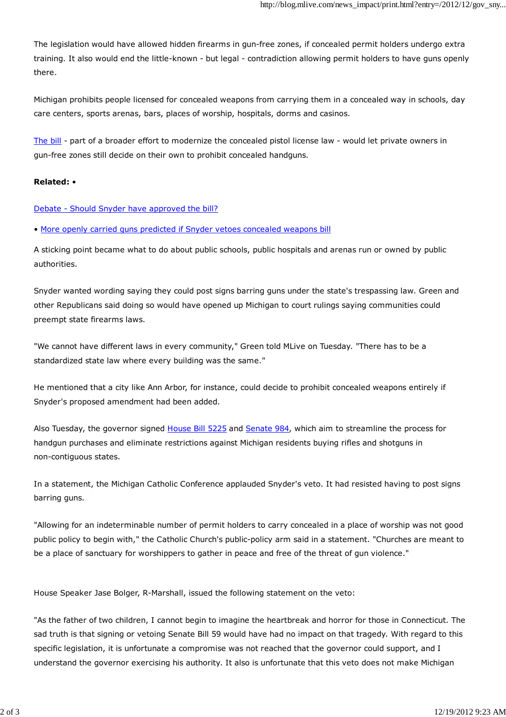The legislation would have allowed hidden firearms in gun-free zones, if concealed permit holders undergo extra training. It also would end the little-known - but legal - contradiction allowing permit holders to have guns openly there.

Michigan prohibits people licensed for concealed weapons from carrying them in a concealed way in schools, day care centers, sports arenas, bars, places of worship, hospitals, dorms and casinos.

The bill - part of a broader effort to modernize the concealed pistol license law - would let private owners in gun-free zones still decide on their own to prohibit concealed handguns.

## **Related:** •

## Debate - Should Snyder have approved the bill?

• More openly carried guns predicted if Snyder vetoes concealed weapons bill

A sticking point became what to do about public schools, public hospitals and arenas run or owned by public authorities.

Snyder wanted wording saying they could post signs barring guns under the state's trespassing law. Green and other Republicans said doing so would have opened up Michigan to court rulings saying communities could preempt state firearms laws.

"We cannot have different laws in every community," Green told MLive on Tuesday. "There has to be a standardized state law where every building was the same."

He mentioned that a city like Ann Arbor, for instance, could decide to prohibit concealed weapons entirely if Snyder's proposed amendment had been added.

Also Tuesday, the governor signed House Bill 5225 and Senate 984, which aim to streamline the process for handgun purchases and eliminate restrictions against Michigan residents buying rifles and shotguns in non-contiguous states.

In a statement, the Michigan Catholic Conference applauded Snyder's veto. It had resisted having to post signs barring guns.

"Allowing for an indeterminable number of permit holders to carry concealed in a place of worship was not good public policy to begin with," the Catholic Church's public-policy arm said in a statement. "Churches are meant to be a place of sanctuary for worshippers to gather in peace and free of the threat of gun violence."

House Speaker Jase Bolger, R-Marshall, issued the following statement on the veto:

"As the father of two children, I cannot begin to imagine the heartbreak and horror for those in Connecticut. The sad truth is that signing or vetoing Senate Bill 59 would have had no impact on that tragedy. With regard to this specific legislation, it is unfortunate a compromise was not reached that the governor could support, and I understand the governor exercising his authority. It also is unfortunate that this veto does not make Michigan